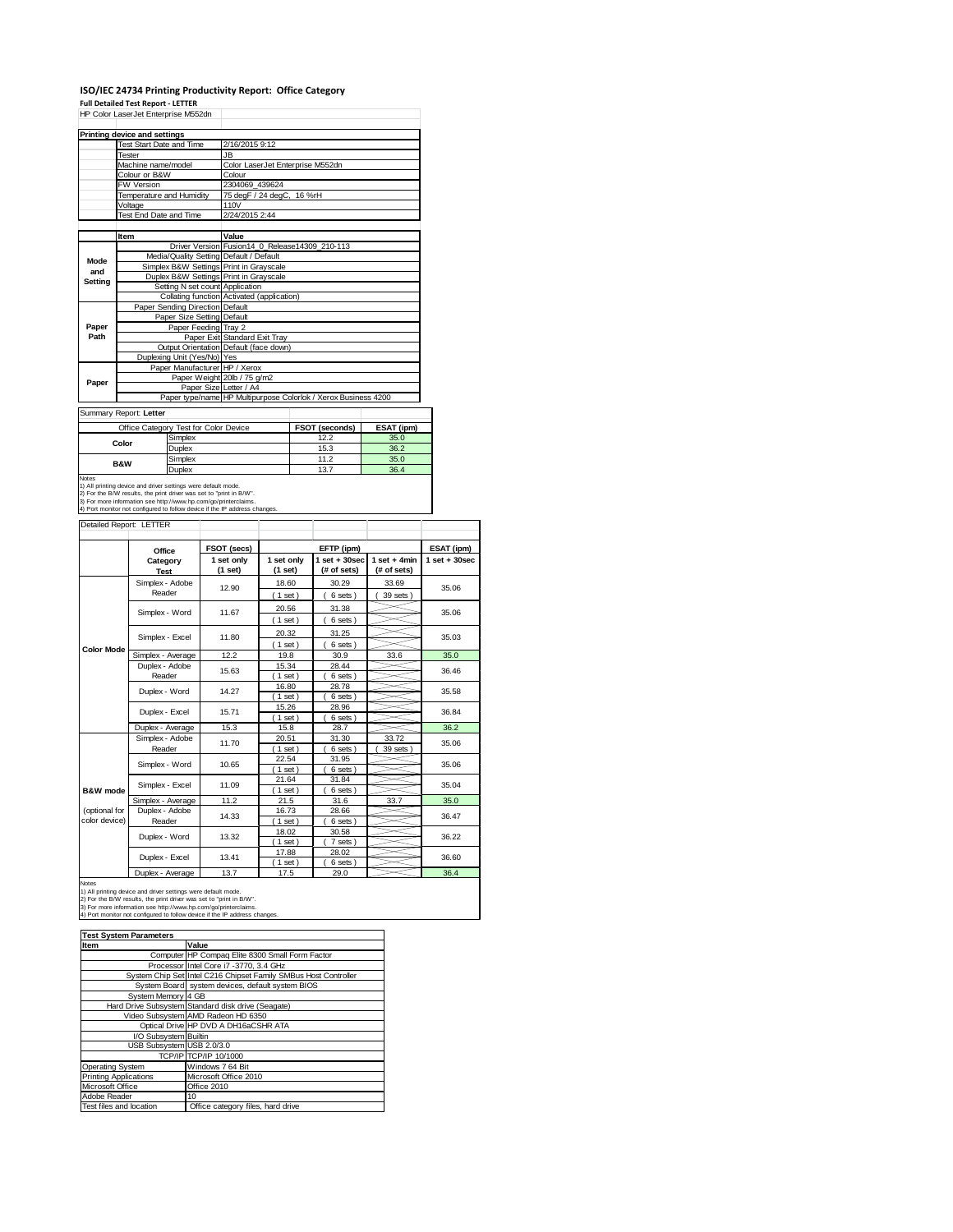#### **ISO/IEC 24734 Printing Productivity Report: Office Category Full Detailed Test Report ‐ LETTER**

|                     | Full Detailed Test Report - LETTER<br>HP Color LaserJet Enterprise M552dn                                                                                                                                            |                            |  |                                                              |                  |              |                                                                |                 |                   |
|---------------------|----------------------------------------------------------------------------------------------------------------------------------------------------------------------------------------------------------------------|----------------------------|--|--------------------------------------------------------------|------------------|--------------|----------------------------------------------------------------|-----------------|-------------------|
|                     | <b>Printing device and settings</b>                                                                                                                                                                                  |                            |  |                                                              |                  |              |                                                                |                 |                   |
|                     | <b>Test Start Date and Time</b>                                                                                                                                                                                      |                            |  | 2/16/2015 9:12                                               |                  |              |                                                                |                 |                   |
|                     | Tester                                                                                                                                                                                                               |                            |  | <b>JB</b><br>Color LaserJet Enterprise M552dn                |                  |              |                                                                |                 |                   |
|                     | Machine name/model<br>Colour or B&W                                                                                                                                                                                  |                            |  | Colour                                                       |                  |              |                                                                |                 |                   |
|                     | FW Version                                                                                                                                                                                                           |                            |  | 2304069 439624                                               |                  |              |                                                                |                 |                   |
|                     | Temperature and Humidity                                                                                                                                                                                             |                            |  | 75 degF / 24 degC,                                           |                  | 16 %rH       |                                                                |                 |                   |
|                     | Voltage                                                                                                                                                                                                              |                            |  | 110V                                                         |                  |              |                                                                |                 |                   |
|                     | Test End Date and Time                                                                                                                                                                                               |                            |  | 2/24/2015 2:44                                               |                  |              |                                                                |                 |                   |
|                     | Item                                                                                                                                                                                                                 |                            |  | Value                                                        |                  |              |                                                                |                 |                   |
|                     |                                                                                                                                                                                                                      |                            |  |                                                              |                  |              | Driver Version Fusion14 0 Release14309 210-113                 |                 |                   |
|                     |                                                                                                                                                                                                                      |                            |  | Media/Quality Setting Default / Default                      |                  |              |                                                                |                 |                   |
| Mode<br>and         |                                                                                                                                                                                                                      |                            |  | Simplex B&W Settings Print in Grayscale                      |                  |              |                                                                |                 |                   |
| <b>Setting</b>      |                                                                                                                                                                                                                      |                            |  | Duplex B&W Settings Print in Grayscale                       |                  |              |                                                                |                 |                   |
|                     |                                                                                                                                                                                                                      | Setting N set count        |  | Application                                                  |                  |              |                                                                |                 |                   |
|                     |                                                                                                                                                                                                                      |                            |  | Collating function Activated (application)                   |                  |              |                                                                |                 |                   |
|                     | Paper Sending Direction Default                                                                                                                                                                                      | Paper Size Setting Default |  |                                                              |                  |              |                                                                |                 |                   |
| Paper               |                                                                                                                                                                                                                      | Paper Feeding Tray 2       |  |                                                              |                  |              |                                                                |                 |                   |
| Path                |                                                                                                                                                                                                                      |                            |  | Paper Exit Standard Exit Tray                                |                  |              |                                                                |                 |                   |
|                     |                                                                                                                                                                                                                      |                            |  | Output Orientation Default (face down)                       |                  |              |                                                                |                 |                   |
|                     | Duplexing Unit (Yes/No) Yes                                                                                                                                                                                          |                            |  |                                                              |                  |              |                                                                |                 |                   |
|                     |                                                                                                                                                                                                                      |                            |  | Paper Manufacturer HP / Xerox<br>Paper Weight 20lb / 75 g/m2 |                  |              |                                                                |                 |                   |
| Paper               |                                                                                                                                                                                                                      |                            |  | Paper Size Letter / A4                                       |                  |              |                                                                |                 |                   |
|                     |                                                                                                                                                                                                                      |                            |  |                                                              |                  |              | Paper type/name HP Multipurpose Colorlok / Xerox Business 4200 |                 |                   |
|                     |                                                                                                                                                                                                                      |                            |  |                                                              |                  |              |                                                                |                 |                   |
|                     | Summary Report: Letter                                                                                                                                                                                               |                            |  |                                                              |                  |              |                                                                |                 |                   |
|                     | Office Category Test for Color Device                                                                                                                                                                                |                            |  |                                                              |                  |              | FSOT (seconds)                                                 | ESAT (ipm)      |                   |
|                     | Color                                                                                                                                                                                                                | Simplex                    |  |                                                              |                  | 12.2         | 35.0                                                           |                 |                   |
|                     |                                                                                                                                                                                                                      | Duplex<br>Simplex          |  |                                                              |                  | 15.3<br>11.2 | 36.2<br>35.0                                                   |                 |                   |
|                     | <b>B&amp;W</b>                                                                                                                                                                                                       | Duplex                     |  |                                                              |                  |              | 13.7                                                           | 36.4            |                   |
|                     | 2) For the B/W results, the print driver was set to "print in B/W".<br>3) For more information see http://www.hp.com/go/printerclaims.<br>4) Port monitor not configured to follow device if the IP address changes. |                            |  |                                                              |                  |              |                                                                |                 |                   |
|                     | Detailed Report: LETTER                                                                                                                                                                                              |                            |  |                                                              |                  |              |                                                                |                 |                   |
|                     | Office                                                                                                                                                                                                               |                            |  | FSOT (secs)                                                  |                  |              | EFTP (ipm)                                                     |                 | ESAT (ipm)        |
|                     | Category                                                                                                                                                                                                             |                            |  | 1 set only                                                   | 1 set only       |              | $1$ set $+30$ sec                                              | $1 set + 4 min$ | $1$ set $+30$ sec |
|                     | <b>Test</b>                                                                                                                                                                                                          |                            |  | (1 set)                                                      | (1 set)          |              | (# of sets)                                                    | (# of sets)     |                   |
|                     | Simplex - Adobe                                                                                                                                                                                                      |                            |  | 12.90                                                        | 18.60            |              | 30.29                                                          | 33.69           | 35.06             |
|                     | Reader                                                                                                                                                                                                               |                            |  |                                                              | (1 set)          |              | 6 sets)                                                        | 39 sets)        |                   |
|                     | Simplex - Word                                                                                                                                                                                                       |                            |  | 11.67                                                        | 20.56            |              | 31.38                                                          |                 | 35.06             |
|                     |                                                                                                                                                                                                                      |                            |  |                                                              | (1 set)          |              | 6 sets)                                                        |                 |                   |
|                     | Simplex - Excel                                                                                                                                                                                                      |                            |  | 11.80                                                        | 20.32            |              | 31.25                                                          |                 | 35.03             |
| <b>Color Mode</b>   |                                                                                                                                                                                                                      |                            |  |                                                              | (1 set)          |              | 6 sets)                                                        |                 |                   |
|                     | Simplex - Average                                                                                                                                                                                                    |                            |  | 12.2                                                         | 19.8             |              | 30.9                                                           | 33.6            | 35.0              |
|                     | Duplex - Adobe                                                                                                                                                                                                       |                            |  | 15.63                                                        | 15.34            |              | 28.44                                                          |                 | 36.46             |
|                     | Reader                                                                                                                                                                                                               |                            |  |                                                              | (1 set)<br>16.80 |              | 6 sets<br>28.78                                                |                 |                   |
|                     | Duplex - Word                                                                                                                                                                                                        |                            |  | 14.27                                                        | (1 set)          |              | 6 sets                                                         |                 | 35.58             |
|                     |                                                                                                                                                                                                                      |                            |  |                                                              | 15.26            |              | 28.96                                                          |                 |                   |
|                     | Duplex - Excel                                                                                                                                                                                                       |                            |  | 15.71                                                        | $1$ set          |              | 6 sets                                                         |                 | 36.84             |
|                     | Duplex - Average                                                                                                                                                                                                     |                            |  | 15.3                                                         | 15.8             |              | 28.7                                                           |                 | 36.2              |
|                     | Simplex - Adobe                                                                                                                                                                                                      |                            |  | 11.70                                                        | 20.51            |              | 31.30                                                          | 33.72           | 35.06             |
|                     | Reader                                                                                                                                                                                                               |                            |  |                                                              | (1 set)          |              | 6 sets)                                                        | 39 sets)        |                   |
|                     | Simplex - Word                                                                                                                                                                                                       |                            |  | 10.65                                                        | 22.54            |              | 31.95                                                          |                 | 35.06             |
|                     |                                                                                                                                                                                                                      |                            |  |                                                              | (1 set)<br>21.64 |              | 6 sets<br>31.84                                                |                 |                   |
| <b>B&amp;W</b> mode | Simplex - Excel                                                                                                                                                                                                      |                            |  | 11.09                                                        | (1 set)          |              | 6 sets)                                                        |                 | 35.04             |
|                     | Simplex - Average                                                                                                                                                                                                    |                            |  | 11.2                                                         | 21.5             |              | 31.6                                                           | 33.7            | 35.0              |
| (optional for       | Duplex - Adobe                                                                                                                                                                                                       |                            |  |                                                              | 16.73            |              | 28.66                                                          |                 |                   |
|                     |                                                                                                                                                                                                                      |                            |  | 14.33                                                        | $1$ set)         |              | 6 sets                                                         |                 | 36.47             |
| color device)       | Reader                                                                                                                                                                                                               |                            |  |                                                              |                  |              |                                                                |                 |                   |

Duplex - Average 13.7 17.5 29.0 36.4 Duplex - Excel

Duplex - Word

Notes<br>1) All printing device and driver settings were default mode.<br>2) For the B/W results, the print driver was set to "print in B/W".<br>3) For more information see http://www.hp.com/go/printerclaims.<br>4) Port monitor not co

| <b>Test System Parameters</b> |                                                                 |  |  |
|-------------------------------|-----------------------------------------------------------------|--|--|
| Item                          | Value                                                           |  |  |
|                               | Computer HP Compaq Elite 8300 Small Form Factor                 |  |  |
|                               | Processor Intel Core i7 -3770, 3.4 GHz                          |  |  |
|                               | System Chip Set Intel C216 Chipset Family SMBus Host Controller |  |  |
|                               | System Board system devices, default system BIOS                |  |  |
| System Memory 4 GB            |                                                                 |  |  |
|                               | Hard Drive Subsystem Standard disk drive (Seagate)              |  |  |
|                               | Video Subsystem AMD Radeon HD 6350                              |  |  |
|                               | Optical Drive HP DVD A DH16aCSHR ATA                            |  |  |
| I/O Subsystem Builtin         |                                                                 |  |  |
| USB Subsystem USB 2.0/3.0     |                                                                 |  |  |
|                               | TCP/IP TCP/IP 10/1000                                           |  |  |
| <b>Operating System</b>       | Windows 7 64 Bit                                                |  |  |
| <b>Printing Applications</b>  | Microsoft Office 2010                                           |  |  |
| Microsoft Office              | Office 2010                                                     |  |  |
| Adobe Reader                  | 10                                                              |  |  |
| Test files and location       | Office category files, hard drive                               |  |  |

13.41

13.32

 $( 7 \text{ sets } )$ <br> $28.02$ 17.88 28.02  $(1 \text{ set})$   $(6 \text{ sets})$ <br>17.5 29.0

36.22 36.60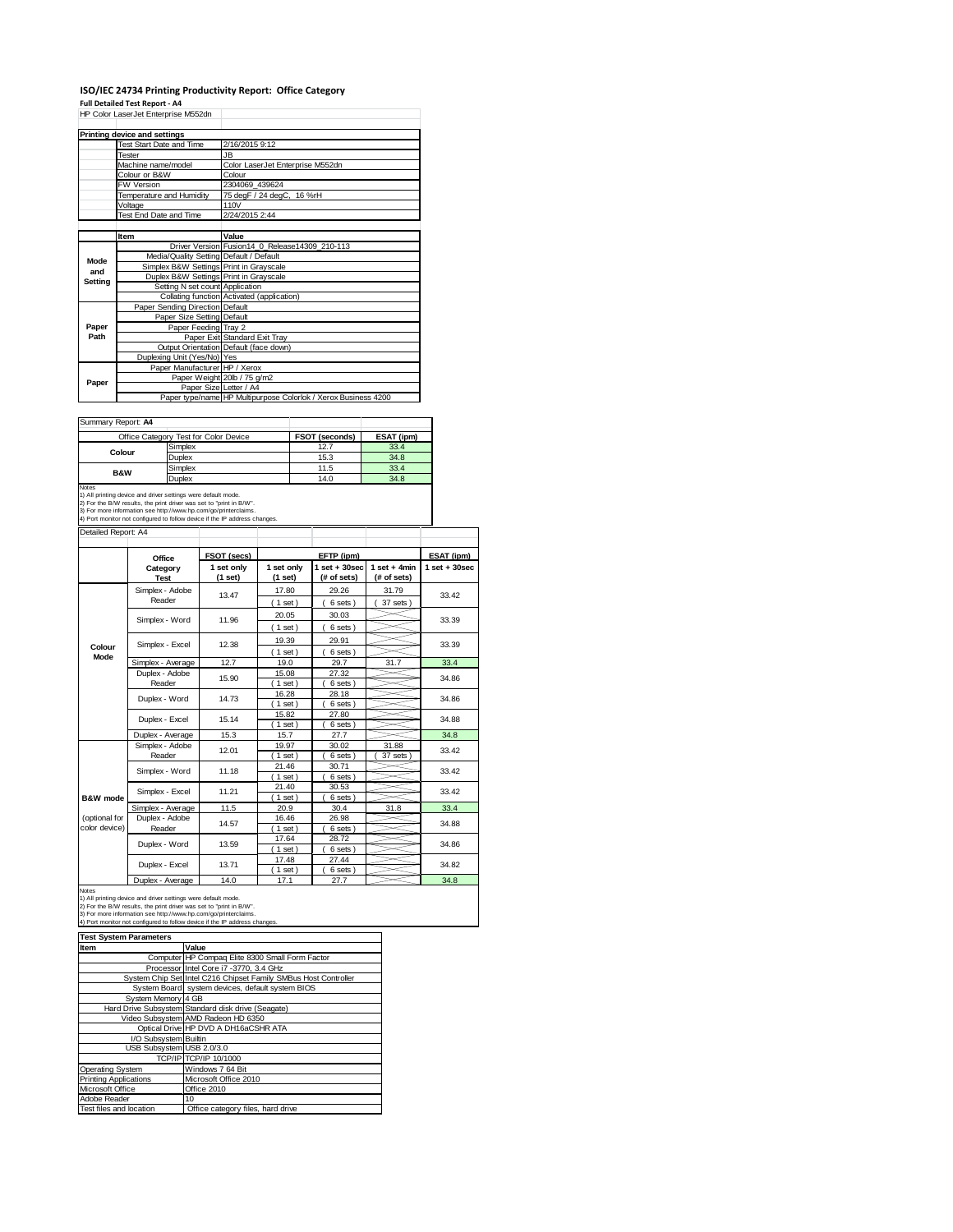# **ISO/IEC 24734 Printing Productivity Report: Office Category**

**Full Detailed Test Report ‐ A4** HP Color LaserJet Enterprise M552dn

|         | Printing device and settings            |                                                                |  |  |
|---------|-----------------------------------------|----------------------------------------------------------------|--|--|
|         | Test Start Date and Time                | 2/16/2015 9:12                                                 |  |  |
|         | Tester                                  | JB                                                             |  |  |
|         | Machine name/model                      | Color LaserJet Enterprise M552dn                               |  |  |
|         | Colour or B&W                           | Colour                                                         |  |  |
|         | FW Version                              | 2304069 439624                                                 |  |  |
|         | Temperature and Humidity                | 75 degF / 24 degC, 16 %rH                                      |  |  |
|         | Voltage                                 | 110V                                                           |  |  |
|         | Test End Date and Time                  | 2/24/2015 2:44                                                 |  |  |
|         |                                         |                                                                |  |  |
|         | Item                                    | Value                                                          |  |  |
|         |                                         | Driver Version Fusion14 0 Release14309 210-113                 |  |  |
| Mode    | Media/Quality Setting Default / Default |                                                                |  |  |
| and     | Simplex B&W Settings Print in Grayscale |                                                                |  |  |
| Settina | Duplex B&W Settings Print in Grayscale  |                                                                |  |  |
|         | Setting N set count Application         |                                                                |  |  |
|         |                                         | Collating function Activated (application)                     |  |  |
|         | Paper Sending Direction Default         |                                                                |  |  |
|         | Paper Size Setting Default              |                                                                |  |  |
| Paper   | Paper Feeding Tray 2                    |                                                                |  |  |
| Path    |                                         | Paper Exit Standard Exit Tray                                  |  |  |
|         |                                         | Output Orientation Default (face down)                         |  |  |
|         | Duplexing Unit (Yes/No) Yes             |                                                                |  |  |
|         | Paper Manufacturer HP / Xerox           |                                                                |  |  |
| Paper   |                                         | Paper Weight 20lb / 75 g/m2                                    |  |  |
|         | Paper Size Letter / A4                  |                                                                |  |  |
|         |                                         | Paper type/name HP Multipurpose Colorlok / Xerox Business 4200 |  |  |

| Summary Report: A4                                                  |                                                                            |                       |            |  |  |  |  |
|---------------------------------------------------------------------|----------------------------------------------------------------------------|-----------------------|------------|--|--|--|--|
|                                                                     | Office Category Test for Color Device                                      | <b>FSOT (seconds)</b> | ESAT (ipm) |  |  |  |  |
| Colour                                                              | Simplex                                                                    | 12.7                  | 33.4       |  |  |  |  |
|                                                                     | Duplex                                                                     | 15.3                  | 34.8       |  |  |  |  |
| <b>B&amp;W</b>                                                      | Simplex                                                                    | 11.5                  | 33.4       |  |  |  |  |
|                                                                     | Duplex                                                                     | 14.0                  | 34.8       |  |  |  |  |
| Notes                                                               |                                                                            |                       |            |  |  |  |  |
|                                                                     | 1) All printing device and driver settings were default mode.              |                       |            |  |  |  |  |
| 2) For the B/W results, the print driver was set to "print in B/W". |                                                                            |                       |            |  |  |  |  |
|                                                                     | 3) For more information see http://www.hp.com/go/printerclaims.            |                       |            |  |  |  |  |
|                                                                     | 4) Port monitor not configured to follow device if the IP address changes. |                       |            |  |  |  |  |

| Detailed Report: A4            |                           |                       |                       |                                  |                               |                    |
|--------------------------------|---------------------------|-----------------------|-----------------------|----------------------------------|-------------------------------|--------------------|
|                                | Office                    | FSOT (secs)           |                       | EFTP (ipm)                       |                               | ESAT (ipm)         |
|                                | Category<br><b>Test</b>   | 1 set only<br>(1 set) | 1 set only<br>(1 set) | $1$ set $+30$ sec<br>(# of sets) | $1$ set + 4min<br>(# of sets) | $1$ set + $30$ sec |
|                                | Simplex - Adobe<br>Reader | 13.47                 | 17.80<br>$1$ set)     | 29.26<br>6 sets)                 | 31.79<br>37 sets              | 33.42              |
|                                | Simplex - Word            | 11.96                 | 20.05<br>$(1$ set)    | 30.03<br>6 sets)                 |                               | 33.39              |
| Colour                         | Simplex - Excel           | 12.38                 | 19.39<br>$1$ set)     | 29.91<br>6 sets)                 |                               | 33.39              |
| Mode                           | Simplex - Average         | 12.7                  | 19.0                  | 29.7                             | 31.7                          | 33.4               |
|                                | Duplex - Adobe<br>Reader  | 15.90                 | 15.08<br>$1$ set      | 27.32<br>6 sets)                 |                               | 34.86              |
|                                | Duplex - Word             | 14.73                 | 16.28<br>$1$ set)     | 28.18<br>6 sets)                 |                               | 34.86              |
|                                | Duplex - Excel            | 15.14                 | 15.82<br>$1$ set      | 27.80<br>6 sets)                 |                               | 34.88              |
|                                | Duplex - Average          | 15.3                  | 15.7                  | 27.7                             |                               | 34.8               |
|                                | Simplex - Adobe<br>Reader | 12.01                 | 19.97<br>$1$ set      | 30.02<br>6 sets)                 | 31.88<br>37 sets              | 33.42              |
|                                | Simplex - Word            | 11.18                 | 21.46<br>$1$ set      | 30.71<br>6 sets)                 |                               | 33.42              |
| B&W mode                       | Simplex - Excel           | 11.21                 | 21.40<br>$1$ set)     | 30.53<br>6 sets)                 |                               | 33.42              |
|                                | Simplex - Average         | 11.5                  | 20.9                  | 30.4                             | 31.8                          | 33.4               |
| (optional for<br>color device) | Duplex - Adobe<br>Reader  | 14.57                 | 16.46<br>$1$ set      | 26.98<br>6 sets)                 |                               | 34.88              |
|                                | Duplex - Word             | 13.59                 | 17.64<br>$1$ set)     | 28.72<br>6 sets)                 |                               | 34.86              |
|                                | Duplex - Excel            | 13.71                 | 17.48<br>$1$ set      | 27.44<br>6 sets)                 |                               | 34.82              |
|                                | <b>Building</b>           | $\cdot$ $\cdot$       | $-1$                  | $\sim$ $-$                       |                               | $\sim$ $\sim$      |

Notes<br>
Notes<br>
1) All princing device and divide settings were default mode.<br>
2) For the B/W results, the print divide was set to "print in B/W".<br>
3) For the B/W results, the print divide was set to "print in B/W".<br>
3) For

| <b>Test System Parameters</b> |                                                                 |  |  |
|-------------------------------|-----------------------------------------------------------------|--|--|
| <b>Item</b>                   | Value                                                           |  |  |
|                               | Computer HP Compaq Elite 8300 Small Form Factor                 |  |  |
|                               | Processor Intel Core i7 -3770, 3.4 GHz                          |  |  |
|                               | System Chip Set Intel C216 Chipset Family SMBus Host Controller |  |  |
|                               | System Board system devices, default system BIOS                |  |  |
| System Memory 4 GB            |                                                                 |  |  |
|                               | Hard Drive Subsystem Standard disk drive (Seagate)              |  |  |
|                               | Video Subsystem AMD Radeon HD 6350                              |  |  |
|                               | Optical Drive HP DVD A DH16aCSHR ATA                            |  |  |
| I/O Subsystem Builtin         |                                                                 |  |  |
| USB Subsystem USB 2.0/3.0     |                                                                 |  |  |
|                               | TCP/IP TCP/IP 10/1000                                           |  |  |
| <b>Operating System</b>       | Windows 7 64 Bit                                                |  |  |
| <b>Printing Applications</b>  | Microsoft Office 2010                                           |  |  |
| Microsoft Office              | Office 2010                                                     |  |  |
| Adobe Reader                  | 10                                                              |  |  |
| Test files and location       | Office category files, hard drive                               |  |  |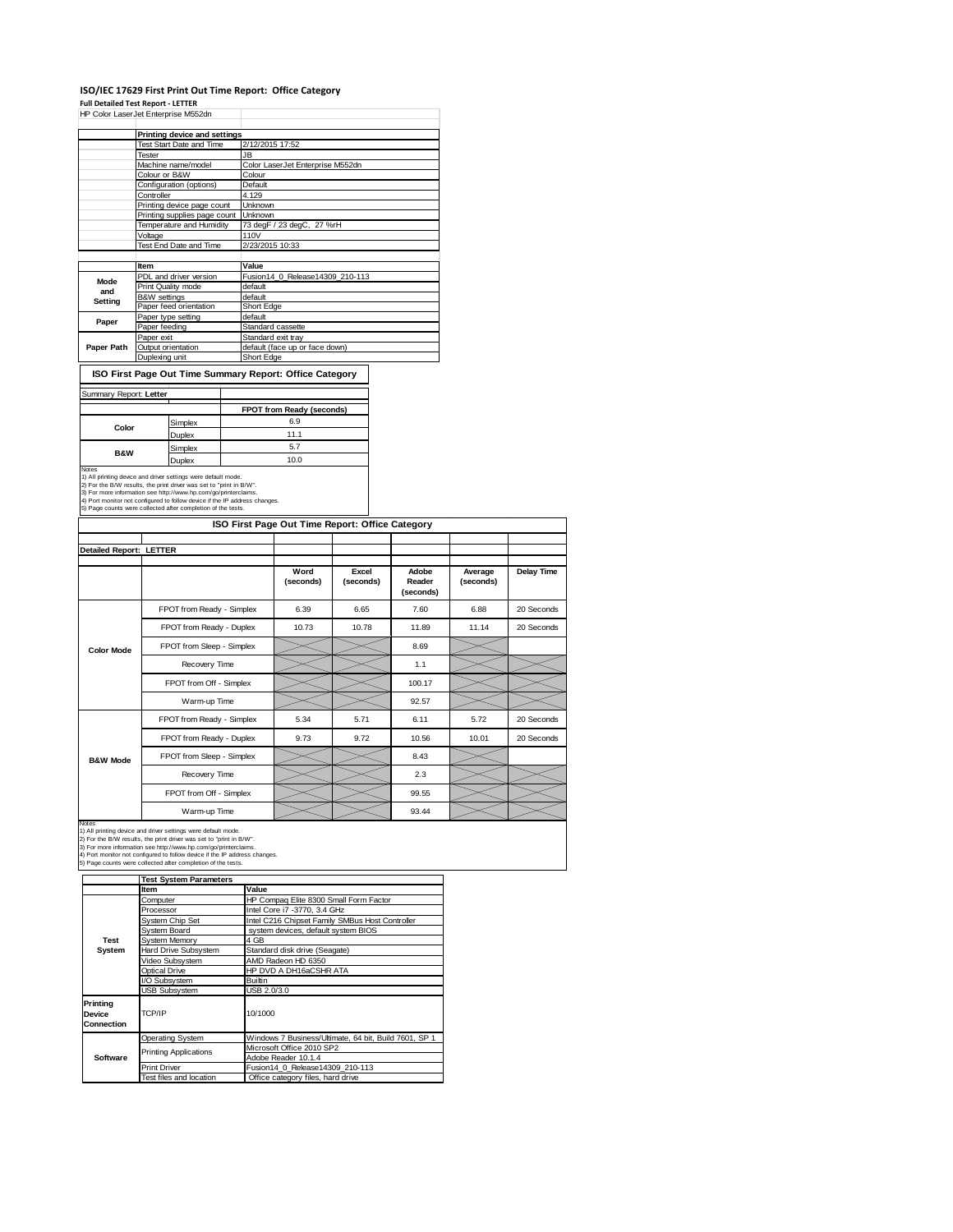## **ISO/IEC 17629 First Print Out Time Report: Office Category Full Detailed Test Report ‐ LETTER** HP Color LaserJet Enterprise M552dn

|            | IF COM LASSIVE LIKE DISC MUJZUIT        |                                  |  |  |
|------------|-----------------------------------------|----------------------------------|--|--|
|            | Printing device and settings            |                                  |  |  |
|            |                                         |                                  |  |  |
|            | <b>Test Start Date and Time</b>         | 2/12/2015 17:52                  |  |  |
|            | Tester                                  | JB                               |  |  |
|            | Machine name/model                      | Color LaserJet Enterprise M552dn |  |  |
|            | Colour or B&W                           | Colour                           |  |  |
|            | Configuration (options)                 | Default                          |  |  |
|            | Controller                              | 4.129                            |  |  |
|            | Printing device page count              | <b>Unknown</b>                   |  |  |
|            | Unknown<br>Printing supplies page count |                                  |  |  |
|            | Temperature and Humidity                | 73 degF / 23 degC, 27 %rH        |  |  |
|            | Voltage                                 | 110V                             |  |  |
|            | Test End Date and Time                  | 2/23/2015 10:33                  |  |  |
|            |                                         |                                  |  |  |
|            | Item                                    | Value                            |  |  |
| Mode       | PDL and driver version                  | Fusion14 0 Release14309 210-113  |  |  |
| and        | Print Quality mode                      | default                          |  |  |
| Setting    | <b>B&amp;W</b> settings                 | default                          |  |  |
|            | Paper feed orientation                  | Short Edge                       |  |  |
| Paper      | Paper type setting                      | default                          |  |  |
|            | Paper feeding                           | Standard cassette                |  |  |
|            | Paper exit                              | Standard exit tray               |  |  |
| Paper Path | Output orientation                      | default (face up or face down)   |  |  |
|            | Duplexing unit                          | Short Edge                       |  |  |

**ISO First Page Out Time Summary Report: Office Category**

| Summary Report: Letter                                                                                                                                                                                                                                                                                                                                         |         |                           |
|----------------------------------------------------------------------------------------------------------------------------------------------------------------------------------------------------------------------------------------------------------------------------------------------------------------------------------------------------------------|---------|---------------------------|
|                                                                                                                                                                                                                                                                                                                                                                |         | FPOT from Ready (seconds) |
| Color                                                                                                                                                                                                                                                                                                                                                          | Simplex | 6.9                       |
|                                                                                                                                                                                                                                                                                                                                                                | Duplex  | 11.1                      |
|                                                                                                                                                                                                                                                                                                                                                                | Simplex | 5.7                       |
| <b>B&amp;W</b>                                                                                                                                                                                                                                                                                                                                                 | Duplex  | 10.0                      |
| Notes<br>1) All printing device and driver settings were default mode.<br>2) For the B/W results, the print driver was set to "print in B/W".<br>3) For more information see http://www.hp.com/go/printerclaims.<br>4) Port monitor not configured to follow device if the IP address changes.<br>5) Page counts were collected after completion of the tests. |         |                           |

| ISO First Page Out Time Report: Office Category |                           |                   |                    |                              |                      |            |
|-------------------------------------------------|---------------------------|-------------------|--------------------|------------------------------|----------------------|------------|
| <b>Detailed Report: LETTER</b>                  |                           |                   |                    |                              |                      |            |
|                                                 |                           | Word<br>(seconds) | Excel<br>(seconds) | Adobe<br>Reader<br>(seconds) | Average<br>(seconds) | Delay Time |
|                                                 | FPOT from Ready - Simplex | 6.39              | 6.65               | 7.60                         | 6.88                 | 20 Seconds |
|                                                 | FPOT from Ready - Duplex  | 10.73             | 10.78              | 11.89                        | 11.14                | 20 Seconds |
| <b>Color Mode</b>                               | FPOT from Sleep - Simplex |                   |                    | 8.69                         |                      |            |
|                                                 | Recovery Time             |                   |                    | 1.1                          |                      |            |
|                                                 | FPOT from Off - Simplex   |                   |                    | 100.17                       |                      |            |
|                                                 | Warm-up Time              |                   |                    | 92.57                        |                      |            |
|                                                 | FPOT from Ready - Simplex | 5.34              | 5.71               | 6.11                         | 5.72                 | 20 Seconds |
|                                                 | FPOT from Ready - Duplex  | 9.73              | 9.72               | 10.56                        | 10.01                | 20 Seconds |
| <b>B&amp;W Mode</b>                             | FPOT from Sleep - Simplex |                   |                    | 8.43                         |                      |            |
|                                                 | Recovery Time             |                   |                    | 2.3                          |                      |            |
|                                                 | FPOT from Off - Simplex   |                   |                    | 99.55                        |                      |            |
|                                                 | Warm-up Time              |                   |                    | 93.44                        |                      |            |

 $\overline{\phantom{a}}$ 

Notes<br>1) All printing device and driver settings were default mode.<br>2) For the B/W results, the print driver was set to "print in B/W".<br>3) For more information see http://www.hp.com/go/printerclaims.<br>4) Port monitor not co

|                                  | <b>Test System Parameters</b> |                                                       |  |  |
|----------------------------------|-------------------------------|-------------------------------------------------------|--|--|
|                                  | Item                          | Value                                                 |  |  |
|                                  | Computer                      | HP Compaq Elite 8300 Small Form Factor                |  |  |
|                                  | Processor                     | Intel Core i7 -3770, 3.4 GHz                          |  |  |
|                                  | System Chip Set               | Intel C216 Chipset Family SMBus Host Controller       |  |  |
|                                  | System Board                  | system devices, default system BIOS                   |  |  |
| Test                             | <b>System Memory</b>          | 4 GB                                                  |  |  |
| System                           | Hard Drive Subsystem          | Standard disk drive (Seagate)                         |  |  |
|                                  | Video Subsystem               | AMD Radeon HD 6350                                    |  |  |
|                                  | Optical Drive                 | HP DVD A DH16aCSHR ATA                                |  |  |
|                                  | I/O Subsystem                 | <b>Builtin</b>                                        |  |  |
|                                  | <b>USB Subsystem</b>          | USB 2.0/3.0                                           |  |  |
| Printina<br>Device<br>Connection | TCP/IP                        | 10/1000                                               |  |  |
|                                  | Operating System              | Windows 7 Business/Ultimate, 64 bit, Build 7601, SP 1 |  |  |
|                                  | <b>Printing Applications</b>  | Microsoft Office 2010 SP2                             |  |  |
| Software                         |                               | Adobe Reader 10.1.4                                   |  |  |
|                                  | <b>Print Driver</b>           | Fusion14 0 Release14309 210-113                       |  |  |
|                                  | Test files and location       | Office category files, hard drive                     |  |  |